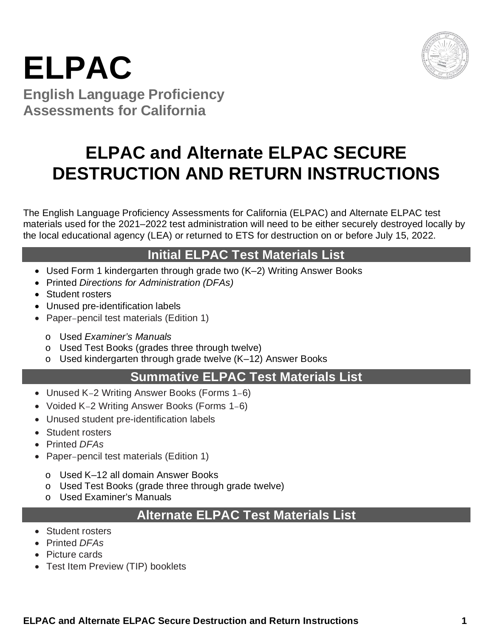

## **ELPAC English Language Proficiency Assessments for California**

# **ELPAC and Alternate ELPAC SECURE DESTRUCTION AND RETURN INSTRUCTIONS**

The English Language Proficiency Assessments for California (ELPAC) and Alternate ELPAC test materials used for the 2021–2022 test administration will need to be either securely destroyed locally by the local educational agency (LEA) or returned to ETS for destruction on or before July 15, 2022.

### **Initial ELPAC Test Materials List**

- Used Form 1 kindergarten through grade two (K–2) Writing Answer Books
- Printed *Directions for Administration (DFAs)*
- Student rosters
- Unused pre-identification labels
- Paper–pencil test materials (Edition 1)
	- o Used *Examiner's Manuals*
	- o Used Test Books (grades three through twelve)
	- o Used kindergarten through grade twelve (K–12) Answer Books

#### **Summative ELPAC Test Materials List**

- Unused K–2 Writing Answer Books (Forms 1–6)
- Voided K–2 Writing Answer Books (Forms 1–6)
- Unused student pre-identification labels
- Student rosters
- Printed *DFAs*
- Paper–pencil test materials (Edition 1)
	- o Used K–12 all domain Answer Books
	- o Used Test Books (grade three through grade twelve)
	- o Used Examiner's Manuals

### **Alternate ELPAC Test Materials List**

- Student rosters
- Printed *DFAs*
- Picture cards
- Test Item Preview (TIP) booklets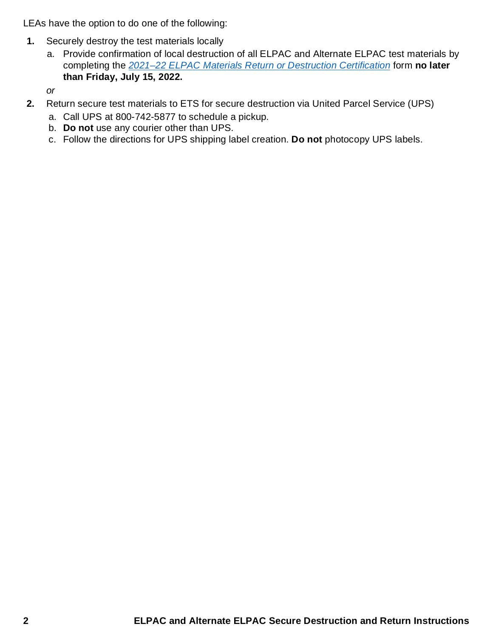LEAs have the option to do one of the following:

- **1.** Securely destroy the test materials locally
	- a. Provide confirmation of local destruction of all ELPAC and Alternate ELPAC test materials by completing the *[2021–22 ELPAC Materials Return or Destruction Certification](https://survey.alchemer.com/s3/6825864/2021-22-ELPAC-Materials-Return-or-Destruction-Certification)* form **no later than Friday, July 15, 2022.**

*or* 

- **2.** Return secure test materials to ETS for secure destruction via United Parcel Service (UPS)
	- a. Call UPS at 800-742-5877 to schedule a pickup.
	- b. **Do not** use any courier other than UPS.
	- c. Follow the directions for UPS shipping label creation. **Do not** photocopy UPS labels.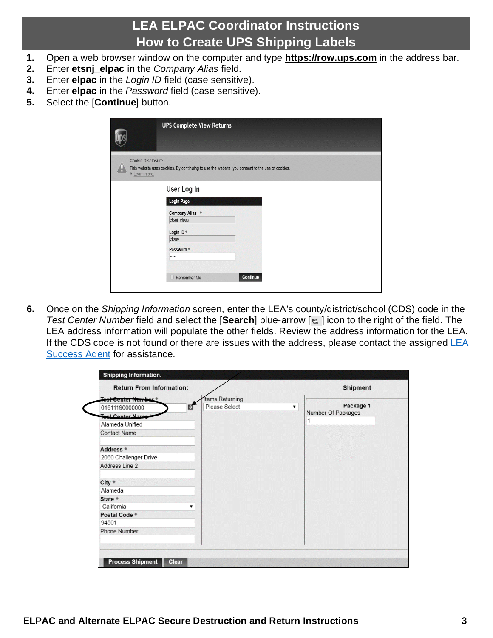## **LEA ELPAC Coordinator Instructions How to Create UPS Shipping Labels**

- **1.** Open a web browser window on the computer and type **[https://row.ups.com](https://row.ups.com/)** in the address bar.
- **2.** Enter **etsnj\_elpac** in the *Company Alias* field.
- **3.** Enter **elpac** in the *Login ID* field (case sensitive).
- **4.** Enter **elpac** in the *Password* field (case sensitive).
- **5.** Select the [**Continue**] button.

|                                                | <b>UPS Complete View Returns</b>                                                                                                      |                                                                                                 |
|------------------------------------------------|---------------------------------------------------------------------------------------------------------------------------------------|-------------------------------------------------------------------------------------------------|
| <b>Cookie Disclosure</b><br>н<br>> Learn more. |                                                                                                                                       | This website uses cookies. By continuing to use the website, you consent to the use of cookies. |
|                                                | User Log In<br><b>Login Page</b><br>Company Alias *<br>etsnj_elpac<br>Login ID <sup>+</sup><br>elpac<br>Password *<br><br>Remember Me | Continue                                                                                        |

**6.** Once on the *Shipping Information* screen, enter the LEA's county/district/school (CDS) code in the *Test Center Number* field and select the [Search] blue-arrow [ $\frac{1}{2}$ ] icon to the right of the field. The LEA address information will populate the other fields. Review the address information for the LEA. If the CDS code is not found or there are issues with the address, please contact the assigned LEA [Success Agent](https://ca-toms-help.ets.org/contact/lea-success-agents/) for assistance.

| Test Center Number       | ftems Returning    |                                       |
|--------------------------|--------------------|---------------------------------------|
| 01611190000000           | Please Select<br>Ð | Package 1<br>۷.<br>Number Of Packages |
| <b>Test Center Name</b>  |                    | 1                                     |
| Alameda Unified          |                    |                                       |
| <b>Contact Name</b>      |                    |                                       |
| Address <sup>*</sup>     |                    |                                       |
| 2060 Challenger Drive    |                    |                                       |
| Address Line 2           |                    |                                       |
| City *                   |                    |                                       |
| Alameda                  |                    |                                       |
| State *                  |                    |                                       |
| California               | $\blacksquare$     |                                       |
| Postal Code <sup>*</sup> |                    |                                       |
| 94501                    |                    |                                       |
| Phone Number             |                    |                                       |
|                          |                    |                                       |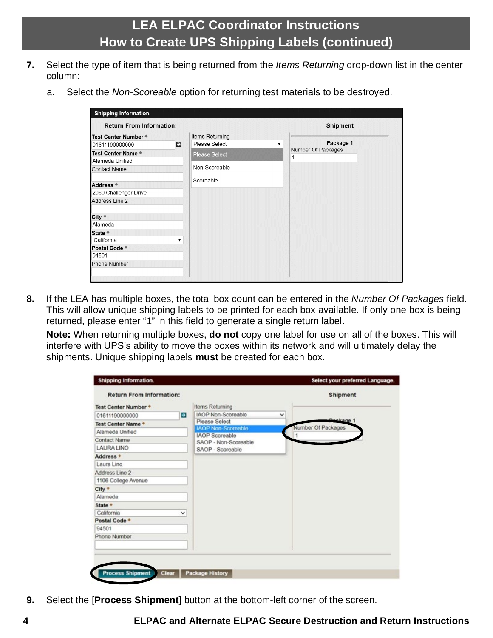### **LEA ELPAC Coordinator Instructions How to Create UPS Shipping Labels (continued)**

- **7.** Select the type of item that is being returned from the *Items Returning* drop-down list in the center column:
	- a. Select the *Non-Scoreable* option for returning test materials to be destroyed.

| <b>Return From Information:</b> |   |                      | <b>Shipment</b>                      |  |
|---------------------------------|---|----------------------|--------------------------------------|--|
| Test Center Number *            |   | Items Returning      |                                      |  |
| 01611190000000                  | Ð | Please Select        | Package 1<br>▼<br>Number Of Packages |  |
| Test Center Name *              |   | <b>Please Select</b> | 1                                    |  |
| Alameda Unified                 |   |                      |                                      |  |
| <b>Contact Name</b>             |   | Non-Scoreable        |                                      |  |
|                                 |   | Scoreable            |                                      |  |
| Address *                       |   |                      |                                      |  |
| 2060 Challenger Drive           |   |                      |                                      |  |
| Address Line 2                  |   |                      |                                      |  |
| $City *$                        |   |                      |                                      |  |
| Alameda                         |   |                      |                                      |  |
| State *                         |   |                      |                                      |  |
| California                      | ▼ |                      |                                      |  |
| Postal Code <sup>*</sup>        |   |                      |                                      |  |
| 94501                           |   |                      |                                      |  |
| Phone Number                    |   |                      |                                      |  |

**8.** If the LEA has multiple boxes, the total box count can be entered in the *Number Of Packages* field. This will allow unique shipping labels to be printed for each box available. If only one box is being returned, please enter "1" in this field to generate a single return label.

**Note:** When returning multiple boxes, **do not** copy one label for use on all of the boxes. This will interfere with UPS's ability to move the boxes within its network and will ultimately delay the shipments. Unique shipping labels **must** be created for each box.

| <b>Return From Information:</b> |   |                                               | <b>Shipment</b>    |
|---------------------------------|---|-----------------------------------------------|--------------------|
| Test Center Number *            |   | Items Returning                               |                    |
| 01611190000000                  | ٠ | IAOP Non-Scoreable<br>v                       |                    |
| Test Center Name +              |   | <b>Please Select</b>                          | Deskage 1          |
| Alameda Unified                 |   | <b>IAOP Non-Scoreable</b>                     | Number Of Packages |
| <b>Contact Name</b>             |   | <b>IAOP</b> Scoreable<br>SAOP - Non-Scoreable |                    |
| LAURA LINO                      |   | SAOP - Scoreable                              |                    |
| Address *                       |   |                                               |                    |
| Laura Lino                      |   |                                               |                    |
| Address Line 2                  |   |                                               |                    |
| 1106 College Avenue             |   |                                               |                    |
| City *                          |   |                                               |                    |
| Alameda                         |   |                                               |                    |
| State +                         |   |                                               |                    |
| California                      | v |                                               |                    |
| Postal Code <sup>+</sup>        |   |                                               |                    |
| 94501                           |   |                                               |                    |
|                                 |   |                                               |                    |
|                                 |   |                                               |                    |
| Phone Number                    |   |                                               |                    |

**9.** Select the [**Process Shipment**] button at the bottom-left corner of the screen.